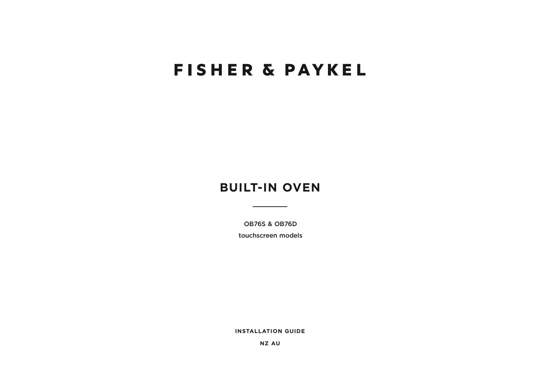# **FISHER & PAYKEL**

## **BUILT-IN OVEN**

OB76S & OB76D

touchscreen models

**INSTALLATION GUIDE**

**NZ AU**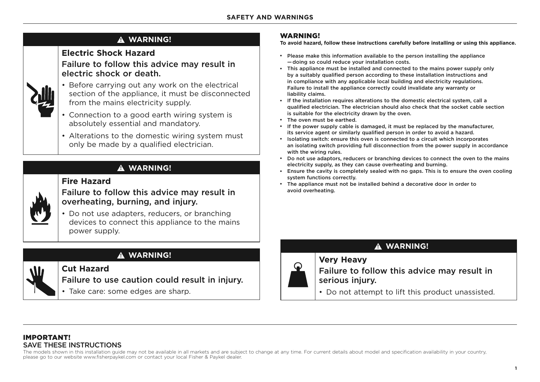### **! WARNING!**

### **Electric Shock Hazard**

Failure to follow this advice may result in electric shock or death.



- Before carrying out any work on the electrical section of the appliance, it must be disconnected from the mains electricity supply.
- Connection to a good earth wiring system is absolutely essential and mandatory.
- Alterations to the domestic wiring system must only be made by a qualified electrician.

### **! WARNING!**

### **Fire Hazard**

Failure to follow this advice may result in overheating, burning, and injury.



• Do not use adapters, reducers, or branching devices to connect this appliance to the mains power supply.

## **! WARNING!**

**Cut Hazard**

Failure to use caution could result in injury.

• Take care: some edges are sharp.

### WARNING!

**To avoid hazard, follow these instructions carefully before installing or using this appliance.**

- Please make this information available to the person installing the appliance — doing so could reduce your installation costs.
- This appliance must be installed and connected to the mains power supply only by a suitably qualified person according to these installation instructions and in compliance with any applicable local building and electricity regulations. Failure to install the appliance correctly could invalidate any warranty or liability claims.
- If the installation requires alterations to the domestic electrical system, call a qualified electrician. The electrician should also check that the socket cable section is suitable for the electricity drawn by the oven.
- The oven must be earthed.
- If the power supply cable is damaged, it must be replaced by the manufacturer, its service agent or similarly qualified person in order to avoid a hazard.
- Isolating switch: ensure this oven is connected to a circuit which incorporates an isolating switch providing full disconnection from the power supply in accordance with the wiring rules.
- Do not use adaptors, reducers or branching devices to connect the oven to the mains electricity supply, as they can cause overheating and burning.
- Ensure the cavity is completely sealed with no gaps. This is to ensure the oven cooling system functions correctly.
- The appliance must not be installed behind a decorative door in order to avoid overheating.



409<br>1990 - Paul Barnett, amerikansk matematik<br>1990 - Paul Barnett, amerikansk matematik

## **! WARNING!**

### **Very Heavy** Failure to follow this advice may result in serious injury.

• Do not attempt to lift this product unassisted.

#### IMPORTANT! SAVE THESE INSTRUCTIONS

The models shown in this installation guide may not be available in all markets and are subject to change at any time. For current details about model and specification availability in your country, please go to our website www.fisherpaykel.com or contact your local Fisher & Paykel dealer.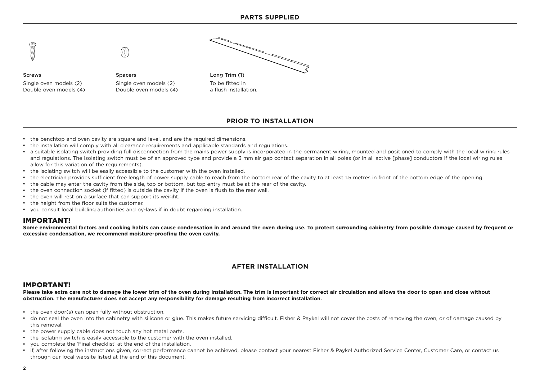

#### **PRIOR TO INSTALLATION**

- the benchtop and oven cavity are square and level, and are the required dimensions.
- the installation will comply with all clearance requirements and applicable standards and requlations.
- a suitable isolating switch providing full disconnection from the mains power supply is incorporated in the permanent wiring, mounted and positioned to comply with the local wiring rules and regulations. The isolating switch must be of an approved type and provide a 3 mm air gap contact separation in all poles (or in all active [phase] conductors if the local wiring rules allow for this variation of the requirements).
- the isolating switch will be easily accessible to the customer with the oven installed.
- the electrician provides sufficient free length of power supply cable to reach from the bottom rear of the cavity to at least 1.5 metres in front of the bottom edge of the opening.
- the cable may enter the cavity from the side, top or bottom, but top entry must be at the rear of the cavity.
- the oven connection socket (if fitted) is outside the cavity if the oven is flush to the rear wall.
- the oven will rest on a surface that can support its weight.
- the height from the floor suits the customer.
- you consult local building authorities and by-laws if in doubt regarding installation.

#### IMPORTANT!

**Some environmental factors and cooking habits can cause condensation in and around the oven during use. To protect surrounding cabinetry from possible damage caused by frequent or excessive condensation, we recommend moisture-proofing the oven cavity.**

#### **AFTER INSTALLATION**

#### IMPORTANT!

**Please take extra care not to damage the lower trim of the oven during installation. The trim is important for correct air circulation and allows the door to open and close without obstruction. The manufacturer does not accept any responsibility for damage resulting from incorrect installation.**

- the oven door(s) can open fully without obstruction.
- do not seal the oven into the cabinetry with silicone or glue. This makes future servicing difficult. Fisher & Paykel will not cover the costs of removing the oven, or of damage caused by this removal.
- the power supply cable does not touch any hot metal parts.
- the isolating switch is easily accessible to the customer with the oven installed.
- vou complete the 'Final checklist' at the end of the installation.
- if, after following the instructions given, correct performance cannot be achieved, please contact your nearest Fisher & Paykel Authorized Service Center, Customer Care, or contact us through our local website listed at the end of this document.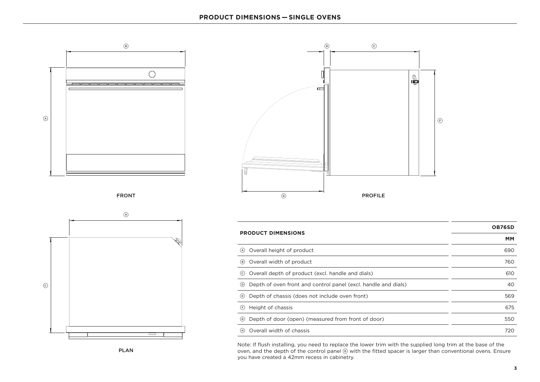









|                                                                    | <b>OB76SD</b> |  |
|--------------------------------------------------------------------|---------------|--|
| <b>PRODUCT DIMENSIONS</b>                                          | МM            |  |
| (A) Overall height of product                                      | 690           |  |
| (B) Overall width of product                                       | 760           |  |
| © Overall depth of product (excl. handle and dials)                | 610           |  |
| (b) Depth of oven front and control panel (excl. handle and dials) | 40            |  |
| $\epsilon$ ) Depth of chassis (does not include oven front)        | 569           |  |
| (F) Height of chassis                                              | 675           |  |
| (6) Depth of door (open) (measured from front of door)             | 550           |  |
| (H) Overall width of chassis                                       | 720           |  |

Note: If flush installing, you need to replace the lower trim with the supplied long trim at the base of the oven, and the depth of the control panel  $\circledcirc$  with the fitted spacer is larger than conventional ovens. Ensure you have created a 42mm recess in cabinetry.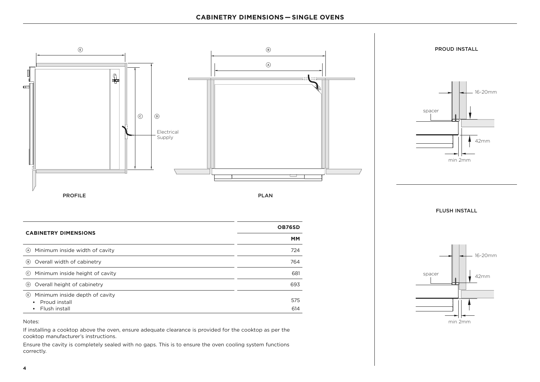

min 2mm

If installing a cooktop above the oven, ensure adequate clearance is provided for the cooktop as per the cooktop manufacturer's instructions.

Ensure the cavity is completely sealed with no gaps. This is to ensure the oven cooling system functions correctly.

Notes: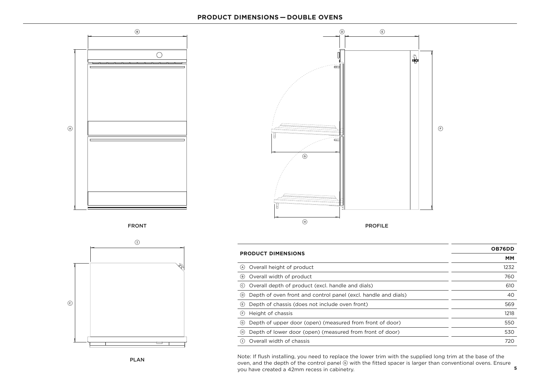#### **PRODUCT DIMENSIONS — DOUBLE OVENS**











| <b>PRODUCT DIMENSIONS</b>                                             | <b>OB76DD</b> |
|-----------------------------------------------------------------------|---------------|
|                                                                       | MМ            |
| Overall height of product<br>(A)                                      | 1232          |
| Overall width of product<br>(в)                                       | 760           |
| Overall depth of product (excl. handle and dials)<br>(c)              | 610           |
| Depth of oven front and control panel (excl. handle and dials)<br>(D) | 40            |
| Depth of chassis (does not include oven front)<br>(E)                 | 569           |
| Height of chassis<br>(F)                                              | 1218          |
| Depth of upper door (open) (measured from front of door)<br>(G)       | 550           |
| Depth of lower door (open) (measured from front of door)<br>(H)       | 530           |
| Overall width of chassis                                              | 720           |

**5** oven, and the depth of the control panel G with the fitted spacer is larger than conventional ovens. Ensure Note: If flush installing, you need to replace the lower trim with the supplied long trim at the base of the you have created a 42mm recess in cabinetry.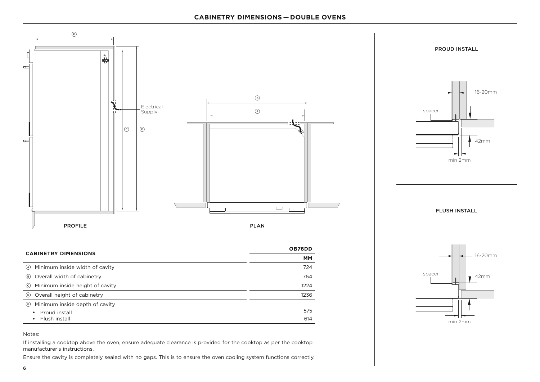#### **CABINETRY DIMENSIONS — DOUBLE OVENS**







PROUD INSTALL

spacer

min 2mm

16-20mm

42mm

42mm

16-20mm

#### Notes:

E Minimum inside depth of cavity

• Proud install • Flush install

If installing a cooktop above the oven, ensure adequate clearance is provided for the cooktop as per the cooktop manufacturer's instructions.

Ensure the cavity is completely sealed with no gaps. This is to ensure the oven cooling system functions correctly.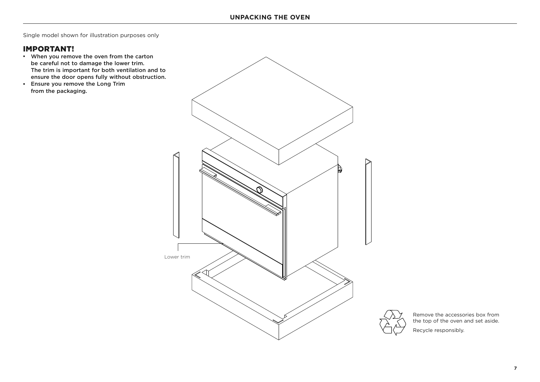Single model shown for illustration purposes only

### IMPORTANT!

- When you remove the oven from the carton be careful not to damage the lower trim. The trim is important for both ventilation and to ensure the door opens fully without obstruction.
- Ensure you remove the Long Trim from the packaging.



Remove the accessories box from the top of the oven and set aside.

Recycle responsibly.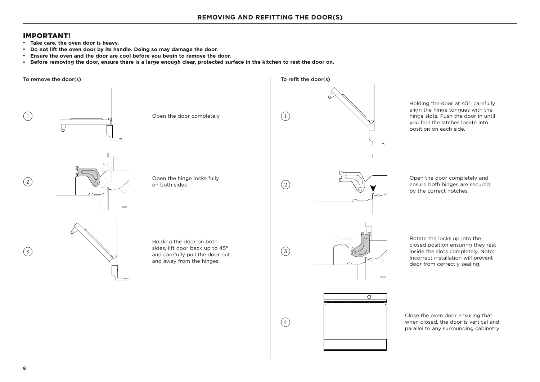#### IMPORTANT!

- $\cdot$  Take care, the oven door is heavy.
- **•** Do not lift the oven door by its handle. Doing so may damage the door.
- **Ensure the oven and the door are cool before you begin to remove the door.**
- **Before removing the door, ensure there is a large enough clear, protected surface in the kitchen to rest the door on.**

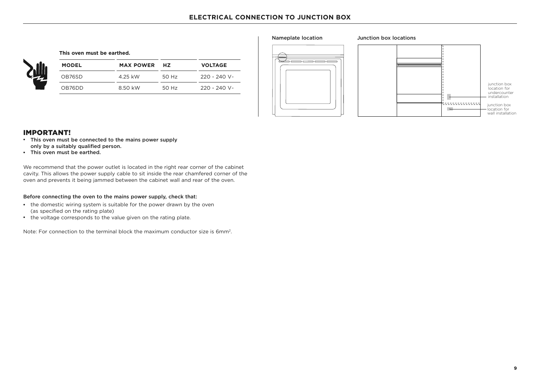| This oven must be earthed. |  |  |  |  |
|----------------------------|--|--|--|--|
|----------------------------|--|--|--|--|

| l | <b>MODEL</b> | <b>MAX POWER</b> | <b>H7</b> | <b>VOLTAGE</b> |
|---|--------------|------------------|-----------|----------------|
| z | OB76SD       | 4.25 kW          | 50 Hz     | 220 - 240 V~   |
|   | OB76DD       | 8.50 kW          | 50 Hz     | 220 - 240 V~   |





#### IMPORTANT!

- This oven must be connected to the mains power supply only by a suitably qualified person.
- This oven must be earthed.

We recommend that the power outlet is located in the right rear corner of the cabinet cavity. This allows the power supply cable to sit inside the rear chamfered corner of the oven and prevents it being jammed between the cabinet wall and rear of the oven.

#### Before connecting the oven to the mains power supply, check that:

- the domestic wiring system is suitable for the power drawn by the oven (as specified on the rating plate)
- the voltage corresponds to the value given on the rating plate.

Note: For connection to the terminal block the maximum conductor size is 6mm2.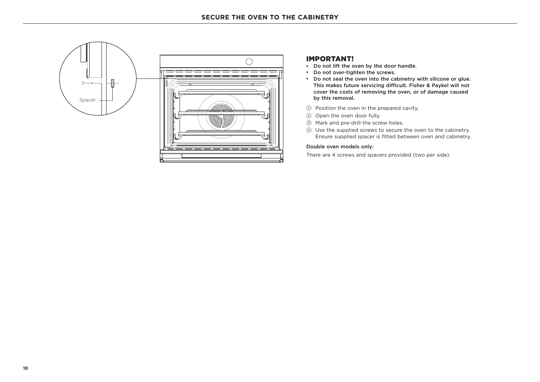

#### IMPORTANT!

- Do not lift the oven by the door handle.
- Do not over-tighten the screws.
- Do not seal the oven into the cabinetry with silicone or glue. This makes future servicing difficult. Fisher & Paykel will not cover the costs of removing the oven, or of damage caused by this removal.
- 1 Position the oven in the prepared cavity.
- 2 Open the oven door fully.
- 3 Mark and pre-drill the screw holes.
- 4 Use the supplied screws to secure the oven to the cabinetry. Ensure supplied spacer is fitted between oven and cabinetry.

#### Double oven models only:

There are 4 screws and spacers provided (two per side).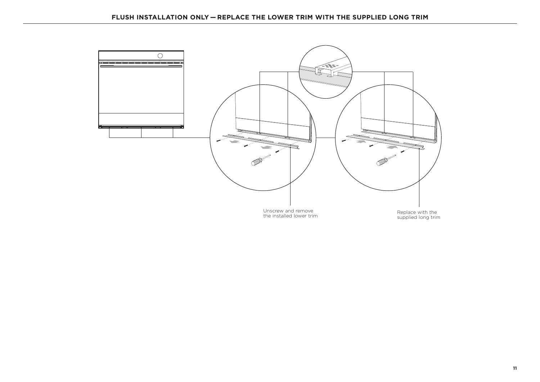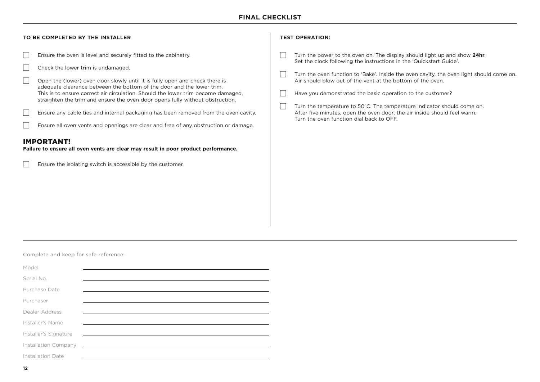### **FINAL CHECKLIST**

| Ensure the oven is level and securely fitted to the cabinetry.<br>Turn the power to the oven on. The display should light up and show 24hr.<br>Set the clock following the instructions in the 'Quickstart Guide'.<br>Check the lower trim is undamaged.<br>Turn the oven function to 'Bake'. Inside the oven cavity, the oven light should come on.<br>Air should blow out of the vent at the bottom of the oven.<br>Open the (lower) oven door slowly until it is fully open and check there is<br>adequate clearance between the bottom of the door and the lower trim.<br>This is to ensure correct air circulation. Should the lower trim become damaged,<br>Have you demonstrated the basic operation to the customer?<br>straighten the trim and ensure the oven door opens fully without obstruction.<br>Turn the temperature to 50°C. The temperature indicator should come on.<br>Ensure any cable ties and internal packaging has been removed from the oven cavity.<br>After five minutes, open the oven door: the air inside should feel warm.<br>Turn the oven function dial back to OFF.<br>Ensure all oven vents and openings are clear and free of any obstruction or damage.<br>Ensure the isolating switch is accessible by the customer. | TO BE COMPLETED BY THE INSTALLER                                                                        | <b>TEST OPERATION:</b> |
|--------------------------------------------------------------------------------------------------------------------------------------------------------------------------------------------------------------------------------------------------------------------------------------------------------------------------------------------------------------------------------------------------------------------------------------------------------------------------------------------------------------------------------------------------------------------------------------------------------------------------------------------------------------------------------------------------------------------------------------------------------------------------------------------------------------------------------------------------------------------------------------------------------------------------------------------------------------------------------------------------------------------------------------------------------------------------------------------------------------------------------------------------------------------------------------------------------------------------------------------------------------|---------------------------------------------------------------------------------------------------------|------------------------|
|                                                                                                                                                                                                                                                                                                                                                                                                                                                                                                                                                                                                                                                                                                                                                                                                                                                                                                                                                                                                                                                                                                                                                                                                                                                              | <b>IMPORTANT!</b><br>Failure to ensure all oven vents are clear may result in poor product performance. |                        |

#### Complete and keep for safe reference:

| Model                 |                                                                                                                                                                                                                                      |
|-----------------------|--------------------------------------------------------------------------------------------------------------------------------------------------------------------------------------------------------------------------------------|
| Serial No.            |                                                                                                                                                                                                                                      |
| Purchase Date         |                                                                                                                                                                                                                                      |
| Purchaser             |                                                                                                                                                                                                                                      |
| Dealer Address        |                                                                                                                                                                                                                                      |
| Installer's Name      |                                                                                                                                                                                                                                      |
| Installer's Signature | <u> 1980 - Jan Andrea Sterne Barbara (h. 1980).</u>                                                                                                                                                                                  |
| Installation Company  | <u>state and the state of the state of the state of the state of the state of the state of the state of the state of the state of the state of the state of the state of the state of the state of the state of the state of the</u> |
| Installation Date     |                                                                                                                                                                                                                                      |